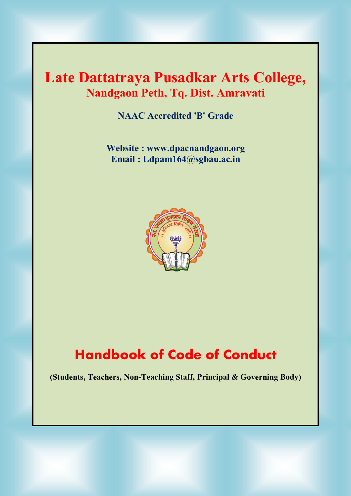# **Late Dattatraya Pusadkar Arts College, Nandgaon Peth, Tq. Dist. Amravati**

**NAAC Accredited 'B' Grade**

**Website : [www.dpacnandgaon.org](http://www.dpacnandgaon.org) Email : [Ldpam164@sgbau.ac.in](mailto:Ldpam164@sgbau.ac.in)**



# **Handbook of Code of Conduct**

**(Students, Teachers, Non-Teaching Staff, Principal & Governing Body)**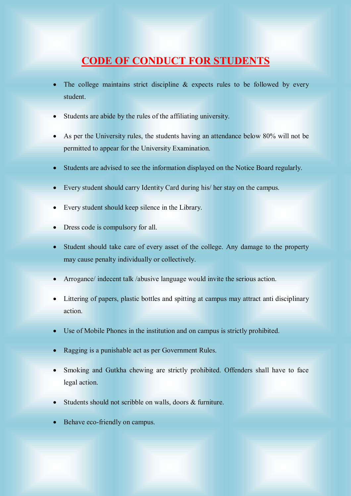### **CODE OF CONDUCT FOR STUDENTS**

- The college maintains strict discipline  $\&$  expects rules to be followed by every student.
- Students are abide by the rules of the affiliating university.
- As per the University rules, the students having an attendance below 80% will not be permitted to appear for the University Examination.
- Students are advised to see the information displayed on the Notice Board regularly.
- Every student should carry Identity Card during his/ her stay on the campus.
- Every student should keep silence in the Library.
- Dress code is compulsory for all.
- Student should take care of every asset of the college. Any damage to the property may cause penalty individually or collectively.
- Arrogance/ indecent talk /abusive language would invite the serious action.
- Littering of papers, plastic bottles and spitting at campus may attract anti disciplinary action.
- Use of Mobile Phones in the institution and on campus is strictly prohibited.
- Ragging is a punishable act as per Government Rules.
- Smoking and Gutkha chewing are strictly prohibited. Offenders shall have to face legal action.
- Students should not scribble on walls, doors & furniture.
- Behave eco-friendly on campus.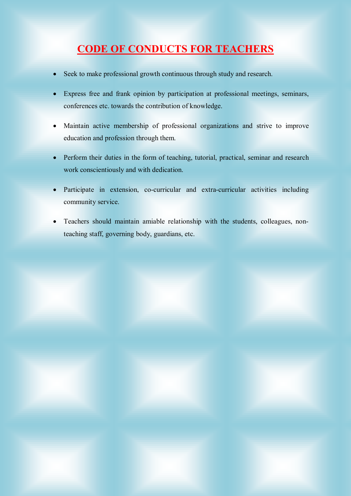# **CODE OF CONDUCTS FOR TEACHERS**

- Seek to make professional growth continuous through study and research.
- Express free and frank opinion by participation at professional meetings, seminars, conferences etc. towards the contribution of knowledge.
- Maintain active membership of professional organizations and strive to improve education and profession through them.
- Perform their duties in the form of teaching, tutorial, practical, seminar and research work conscientiously and with dedication.
- Participate in extension, co-curricular and extra-curricular activities including community service.
- Teachers should maintain amiable relationship with the students, colleagues, nonteaching staff, governing body, guardians, etc.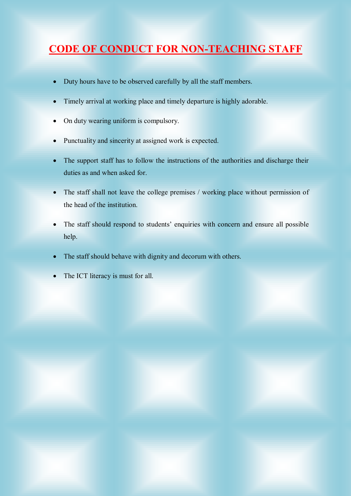# **CODE OF CONDUCT FOR NON-TEACHING STAFF**

- Duty hours have to be observed carefully by all the staff members.
- Timely arrival at working place and timely departure is highly adorable.
- On duty wearing uniform is compulsory.
- Punctuality and sincerity at assigned work is expected.
- The support staff has to follow the instructions of the authorities and discharge their duties as and when asked for.
- The staff shall not leave the college premises / working place without permission of the head of the institution.
- The staff should respond to students' enquiries with concern and ensure all possible help.
- The staff should behave with dignity and decorum with others.
- The ICT literacy is must for all.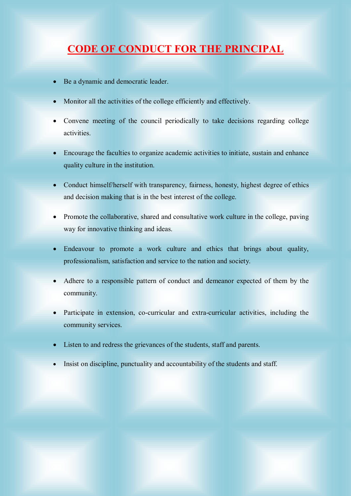# **CODE OF CONDUCT FOR THE PRINCIPAL**

- Be a dynamic and democratic leader.
- Monitor all the activities of the college efficiently and effectively.
- Convene meeting of the council periodically to take decisions regarding college activities.
- Encourage the faculties to organize academic activities to initiate, sustain and enhance quality culture in the institution.
- Conduct himself/herself with transparency, fairness, honesty, highest degree of ethics and decision making that is in the best interest of the college.
- Promote the collaborative, shared and consultative work culture in the college, paving way for innovative thinking and ideas.
- Endeavour to promote a work culture and ethics that brings about quality, professionalism, satisfaction and service to the nation and society.
- Adhere to a responsible pattern of conduct and demeanor expected of them by the community.
- Participate in extension, co-curricular and extra-curricular activities, including the community services.
- Listen to and redress the grievances of the students, staff and parents.
- Insist on discipline, punctuality and accountability of the students and staff.